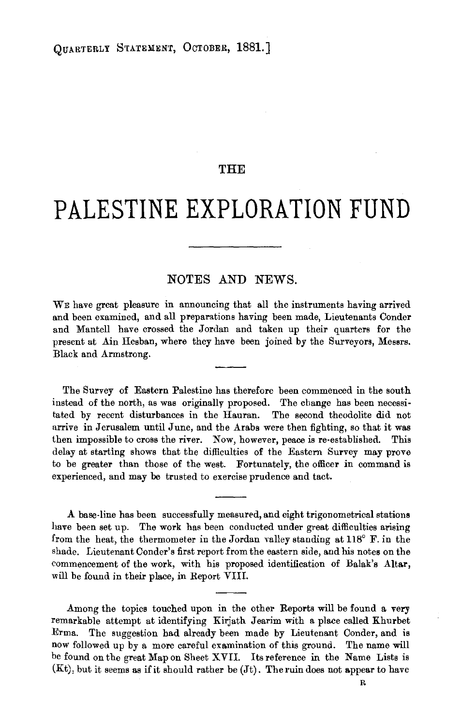## **THE**

## **PALESTINE EXPLORATION FUND**

## NOTES AND NEWS.

WE have great pleasure in announcing that all the instruments having arrived and been examined, and all preparations having been made, Lieutenants Conder and Mantell have crossed the Jordan and taken up their quarters for the present at Ain Hesban, where they have been joined by the Surveyors, Messrs. Black and Armstrong.

The Survey of Eastern Palestine has therefore been commenced in the south instead of the north, as was originally proposed. The change has been necessi· tated by recent disturbances in the Hauran. The second theodolite did not arrive in Jerusalem until June, and the Arabs were then fighting, so that it was then impossible to cross the river. Now, however, peace is re-established. This delay at starting shows that the difficulties of the Eastern Survey may prove to be greater than those of the west. Fortunately, the officer in command is experienced, and may be trusted to exercise prudence and tact.

A base·line has been successfully measured, and eight trigonometrical stations have been set up. The work has been conducted under great difficulties arising from the heat, the thermometer in the Jordan valley standing at 118° F. in the shade. Lieutenant Conder's first report from the eastern side, and his notes on the commencement of the work, with his proposed identification of Balak's Altar, will be found in their place, in Report VIII.

Among the topics touched upon in the other Reports will be found a very remarkable attempt at identifying Kirjath Jearim with a place called Khurbet Erma. The suggestion had already been made by Lieutenant Conder, and is now followed up by a more careful examination of this ground. The name will be found on the great Map on Sheet XVII. Its reference in the Name Lists is  $(Kt)$ , but it seems as if it should rather be  $(Jt)$ . The ruin does not appear to have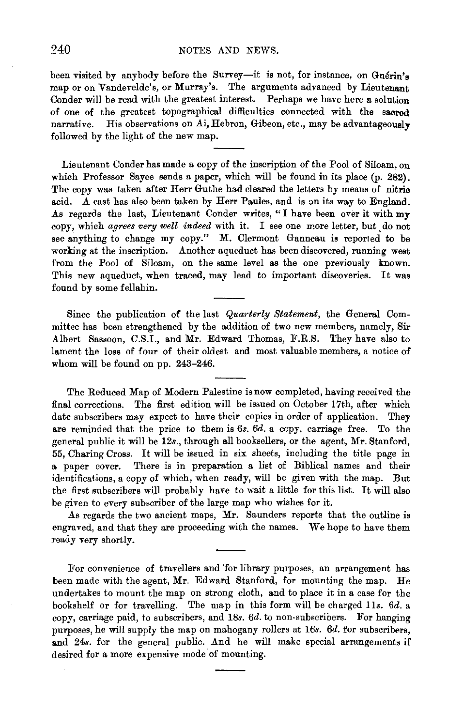been visited by anybody before the Survey-it is not, for instance, on Guérin's map or on Vandevelde's, or Murray's. The arguments advanced by Lieutenant Conder will be read with the greatest interest. Perhaps we have here a solution of one of the greatest topographical difficulties connected with the sacred narrative. His observations on Ai, Hebron, Gibeon, etc., may be advantageously followed by the light of the new map.

Lieutenant Conder has made a copy of the inscription of the Pool of Siloam, on which Professor Sayce sends a paper, which will be found in its place (p. 282). The copy was taken after Herr Guthe had cleared the letters by means of nitric acid. A cast has also been taken by Herr Paules, and is on its way to England. As regards the last, Lieutenant Conder writes, "I have been over it with my copy, which *agrees very well indeed* with it. I see one more letter, but. do not see anything to change my copy." M. Clermont Ganneau is reported to be working at the inscription. Another aqueduct has been discovered, running west from the Pool of Siloam, on the same level as the one previously known. This new aqueduct, when traced, may lead to important discoveries. It was found by some fellahin.

Since the publication of the last *Quarterly Statement,* the General Committee has been strengthened by the addition of two new members, namely, Sir Albert Sassoon, C.S.I., and Mr. Edward Thomas, F.R.S. They have also to lament the loss of four of their oldest and most valuable members, a notice of whom will be found on pp. 243-246.

The Reduced Map of Modern Palestine is now completed, having received the final corrections. The first edition will be issued on October 17th, after which date subscribers may expect to have their copies in order of application. They are reminded that the price to them is *6s. 6d.* a copy, carriage free. To the general public it will be 12s., through all booksellers, or the agent, Mr. Stanford, 55, Charing Cross. It will be issued in six sheets, including the title page in a paper cover. There is in preparation a list of Biblical names and their identifications, a copy of which, when ready, will be given with the map. But the first subscribers will probably have to wait a little for this list. It will also be given to every subscriber of the large map who wishes for it.

As regards the two ancient maps, Mr. Saunders reports that the outline is engraved, and that they are proceeding with the names. We hope to have them ready very shortly.

For convenience of travellers and 'for library purposes, an arrangement has been made with the agent, Mr. Edward Stanford, for mounting the map. He undertakes to mount the map on strong cloth, and to place it in a case for the bookshelf or for travelling. The map in this form will be charged *lls. 6d.* a copy, carriage paid, to subscribers, and 18s. *6d.* to non-subscribers. For hanging purposes, he will supply the map on mahogany rollers at l6s. *6d.* for subscribers, and 24s. for the general public. And he will make special arrangements if desired for a more expensive mode of mounting.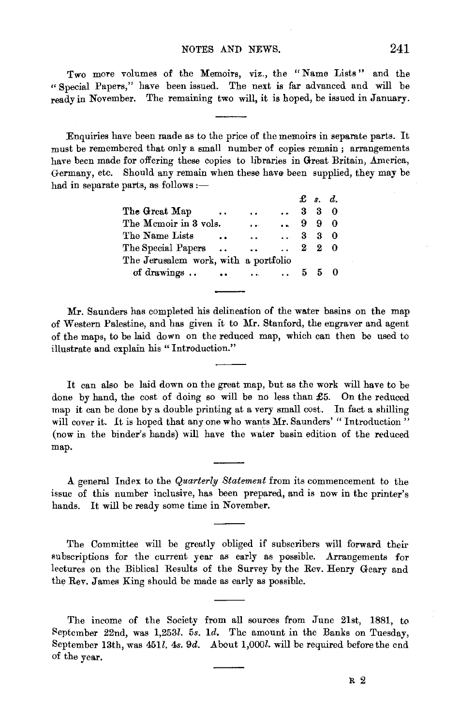Two more volumes of the Memoirs, viz., the "Name Lists" and the "Special Papers," have been issued. The next is far advanced and will be ready in November. The remaining two will, it is hoped, be issued in January.

Enquiries have been made as to the price of the memoirs in separate parts. It must be remembered that only a small number of copies remain ; arrangements have been made for offering these copies to libraries in Great Britain, America, Germany, etc. Should any remain when these have been supplied, they may be had in separate parts, as follows  $:$   $-$ 

|                                      |                      |                      |                      |  | $\pounds$ s. d.     |  |
|--------------------------------------|----------------------|----------------------|----------------------|--|---------------------|--|
| The Great Map                        | $\cdot$ .            | . .                  | $\ddot{\phantom{a}}$ |  | $3 \quad 3 \quad 0$ |  |
| The Memoir in 3 vols.                |                      | $\ddot{\phantom{a}}$ | $\sim$               |  | 990                 |  |
| The Name Lists                       | $\ddot{\phantom{a}}$ | $\ddotsc$            | 330                  |  |                     |  |
| The Special Papers                   |                      | $\ddot{\phantom{a}}$ | $\mathbf{r}$         |  | 220                 |  |
| The Jerusalem work, with a portfolio |                      |                      |                      |  |                     |  |
| of drawings                          |                      | $\cdots$             | $\sim$ 400 $\sim$    |  | 550                 |  |

Mr. Saunders has completed his delineation of the water basins on the map of Western Palestine, and has given it to l\Ir. Stanford, the engraver and agent of the maps, to be laid down on the reduced map, which can then be used to illustrate and explain his "Introduction."

It can also be laid down on the great map, but as the work will have to be done by hand, the cost of doing so will be no less than £5. On the reduced map it can be done by a double printing at a very small cost. In fact a shilling will cover it. It is hoped that any one who wants Mr. Saunders' "Introduction" (now in the binder's hands) will have the water basin edition of the reduced map.

A general Index to the *Quarterly Statement* from its commencement to the issue of this number inclusive, has been prepared, and is now in the printer's hands. It will be ready some time in November.

The Committee will be greatly obliged if subscribers will forward their subscriptions for the current year as early as possible. Arrangements for lectures on the Biblical Results of the Survey by the Rev. Henry Geary and the Rev. James King should be made as early as possible.

The income of the Society from all sources from June 21st, 1881, to September 22nd, was  $1,253l$ . 5s. 1d. The amount in the Banks on Tuesday, September 13th, was 451l. 4s. 9d. About 1,000l. will be required before the end of the year.